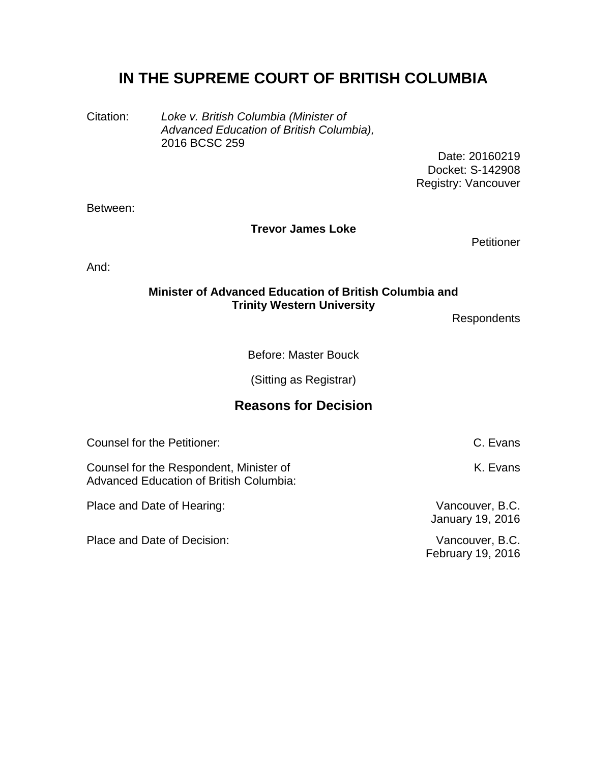# **IN THE SUPREME COURT OF BRITISH COLUMBIA**

Citation: *Loke v. British Columbia (Minister of Advanced Education of British Columbia),* 2016 BCSC 259

Date: 20160219 Docket: S-142908 Registry: Vancouver

Between:

**Trevor James Loke**

**Petitioner** 

And:

#### **Minister of Advanced Education of British Columbia and Trinity Western University**

**Respondents** 

Before: Master Bouck

(Sitting as Registrar)

# **Reasons for Decision**

Counsel for the Petitioner: C. Evans

Counsel for the Respondent, Minister of Advanced Education of British Columbia:

Place and Date of Hearing: Vancouver, B.C.

Place and Date of Decision: Vancouver, B.C.

K. Evans

January 19, 2016

February 19, 2016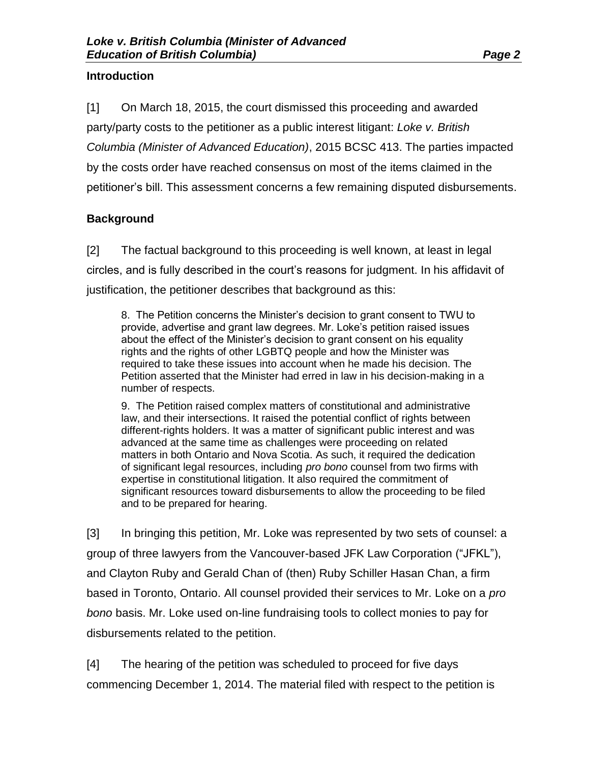#### **Introduction**

[1] On March 18, 2015, the court dismissed this proceeding and awarded party/party costs to the petitioner as a public interest litigant: *Loke v. British Columbia (Minister of Advanced Education)*, 2015 BCSC 413. The parties impacted by the costs order have reached consensus on most of the items claimed in the petitioner's bill. This assessment concerns a few remaining disputed disbursements.

## **Background**

[2] The factual background to this proceeding is well known, at least in legal circles, and is fully described in the court's reasons for judgment. In his affidavit of justification, the petitioner describes that background as this:

8. The Petition concerns the Minister's decision to grant consent to TWU to provide, advertise and grant law degrees. Mr. Loke's petition raised issues about the effect of the Minister's decision to grant consent on his equality rights and the rights of other LGBTQ people and how the Minister was required to take these issues into account when he made his decision. The Petition asserted that the Minister had erred in law in his decision-making in a number of respects.

9. The Petition raised complex matters of constitutional and administrative law, and their intersections. It raised the potential conflict of rights between different-rights holders. It was a matter of significant public interest and was advanced at the same time as challenges were proceeding on related matters in both Ontario and Nova Scotia. As such, it required the dedication of significant legal resources, including *pro bono* counsel from two firms with expertise in constitutional litigation. It also required the commitment of significant resources toward disbursements to allow the proceeding to be filed and to be prepared for hearing.

[3] In bringing this petition, Mr. Loke was represented by two sets of counsel: a group of three lawyers from the Vancouver-based JFK Law Corporation ("JFKL"), and Clayton Ruby and Gerald Chan of (then) Ruby Schiller Hasan Chan, a firm based in Toronto, Ontario. All counsel provided their services to Mr. Loke on a *pro bono* basis. Mr. Loke used on-line fundraising tools to collect monies to pay for disbursements related to the petition.

[4] The hearing of the petition was scheduled to proceed for five days commencing December 1, 2014. The material filed with respect to the petition is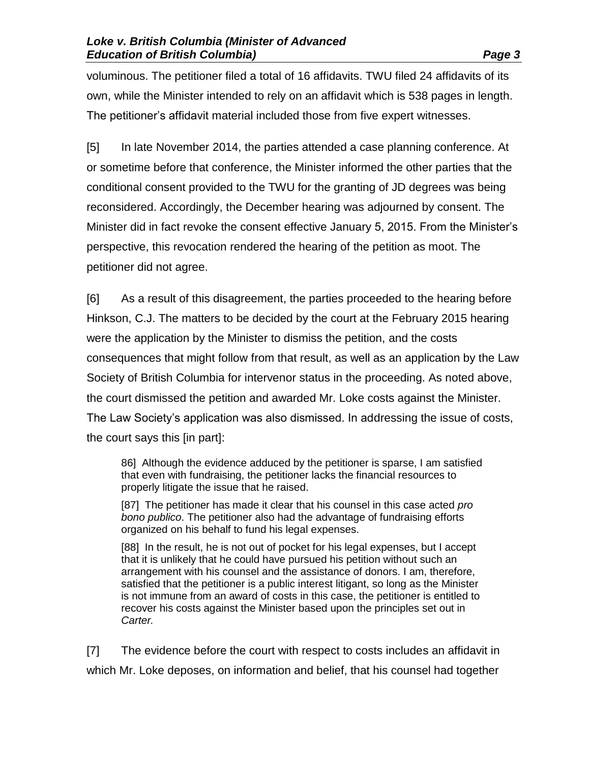voluminous. The petitioner filed a total of 16 affidavits. TWU filed 24 affidavits of its own, while the Minister intended to rely on an affidavit which is 538 pages in length. The petitioner's affidavit material included those from five expert witnesses.

[5] In late November 2014, the parties attended a case planning conference. At or sometime before that conference, the Minister informed the other parties that the conditional consent provided to the TWU for the granting of JD degrees was being reconsidered. Accordingly, the December hearing was adjourned by consent. The Minister did in fact revoke the consent effective January 5, 2015. From the Minister's perspective, this revocation rendered the hearing of the petition as moot. The petitioner did not agree.

[6] As a result of this disagreement, the parties proceeded to the hearing before Hinkson, C.J. The matters to be decided by the court at the February 2015 hearing were the application by the Minister to dismiss the petition, and the costs consequences that might follow from that result, as well as an application by the Law Society of British Columbia for intervenor status in the proceeding. As noted above, the court dismissed the petition and awarded Mr. Loke costs against the Minister. The Law Society's application was also dismissed. In addressing the issue of costs, the court says this [in part]:

86] Although the evidence adduced by the petitioner is sparse, I am satisfied that even with fundraising, the petitioner lacks the financial resources to properly litigate the issue that he raised.

[87] The petitioner has made it clear that his counsel in this case acted *pro bono publico*. The petitioner also had the advantage of fundraising efforts organized on his behalf to fund his legal expenses.

[88] In the result, he is not out of pocket for his legal expenses, but I accept that it is unlikely that he could have pursued his petition without such an arrangement with his counsel and the assistance of donors. I am, therefore, satisfied that the petitioner is a public interest litigant, so long as the Minister is not immune from an award of costs in this case, the petitioner is entitled to recover his costs against the Minister based upon the principles set out in *Carter.*

[7] The evidence before the court with respect to costs includes an affidavit in which Mr. Loke deposes, on information and belief, that his counsel had together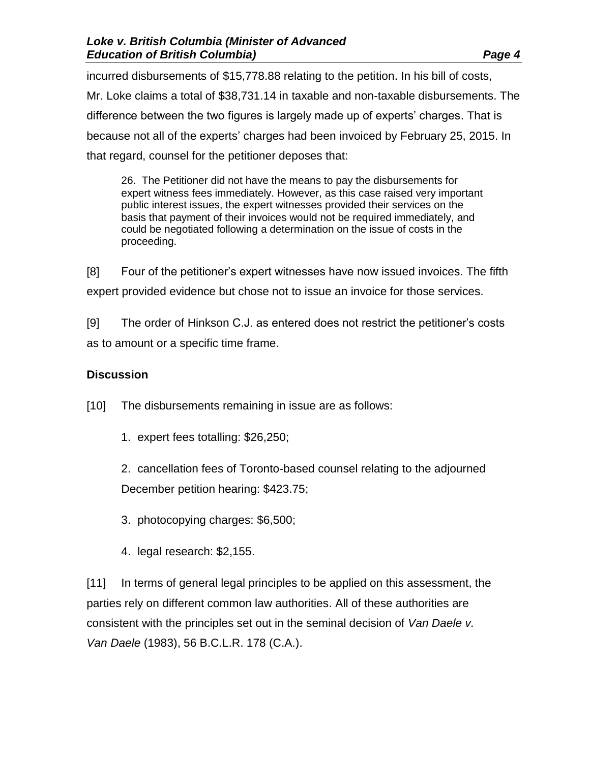incurred disbursements of \$15,778.88 relating to the petition. In his bill of costs, Mr. Loke claims a total of \$38,731.14 in taxable and non-taxable disbursements. The difference between the two figures is largely made up of experts' charges. That is because not all of the experts' charges had been invoiced by February 25, 2015. In that regard, counsel for the petitioner deposes that:

26. The Petitioner did not have the means to pay the disbursements for expert witness fees immediately. However, as this case raised very important public interest issues, the expert witnesses provided their services on the basis that payment of their invoices would not be required immediately, and could be negotiated following a determination on the issue of costs in the proceeding.

[8] Four of the petitioner's expert witnesses have now issued invoices. The fifth expert provided evidence but chose not to issue an invoice for those services.

[9] The order of Hinkson C.J. as entered does not restrict the petitioner's costs as to amount or a specific time frame.

## **Discussion**

[10] The disbursements remaining in issue are as follows:

1. expert fees totalling: \$26,250;

2. cancellation fees of Toronto-based counsel relating to the adjourned December petition hearing: \$423.75;

- 3. photocopying charges: \$6,500;
- 4. legal research: \$2,155.

[11] In terms of general legal principles to be applied on this assessment, the parties rely on different common law authorities. All of these authorities are consistent with the principles set out in the seminal decision of *Van Daele v. Van Daele* (1983), 56 B.C.L.R. 178 (C.A.).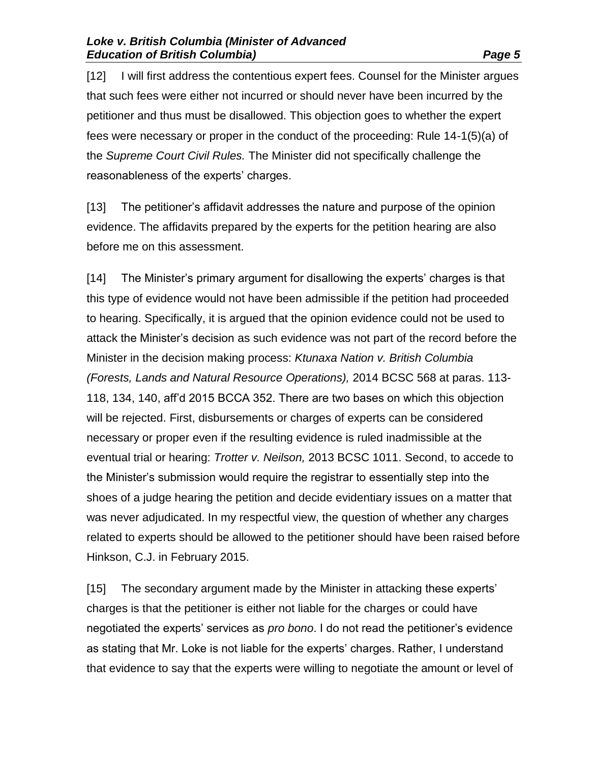[12] I will first address the contentious expert fees. Counsel for the Minister argues that such fees were either not incurred or should never have been incurred by the petitioner and thus must be disallowed. This objection goes to whether the expert fees were necessary or proper in the conduct of the proceeding: Rule 14-1(5)(a) of the *Supreme Court Civil Rules.* The Minister did not specifically challenge the reasonableness of the experts' charges.

[13] The petitioner's affidavit addresses the nature and purpose of the opinion evidence. The affidavits prepared by the experts for the petition hearing are also before me on this assessment.

[14] The Minister's primary argument for disallowing the experts' charges is that this type of evidence would not have been admissible if the petition had proceeded to hearing. Specifically, it is argued that the opinion evidence could not be used to attack the Minister's decision as such evidence was not part of the record before the Minister in the decision making process: *Ktunaxa Nation v. British Columbia (Forests, Lands and Natural Resource Operations),* 2014 BCSC 568 at paras. 113- 118, 134, 140, aff'd 2015 BCCA 352. There are two bases on which this objection will be rejected. First, disbursements or charges of experts can be considered necessary or proper even if the resulting evidence is ruled inadmissible at the eventual trial or hearing: *Trotter v. Neilson,* 2013 BCSC 1011. Second, to accede to the Minister's submission would require the registrar to essentially step into the shoes of a judge hearing the petition and decide evidentiary issues on a matter that was never adjudicated. In my respectful view, the question of whether any charges related to experts should be allowed to the petitioner should have been raised before Hinkson, C.J. in February 2015.

[15] The secondary argument made by the Minister in attacking these experts' charges is that the petitioner is either not liable for the charges or could have negotiated the experts' services as *pro bono*. I do not read the petitioner's evidence as stating that Mr. Loke is not liable for the experts' charges. Rather, I understand that evidence to say that the experts were willing to negotiate the amount or level of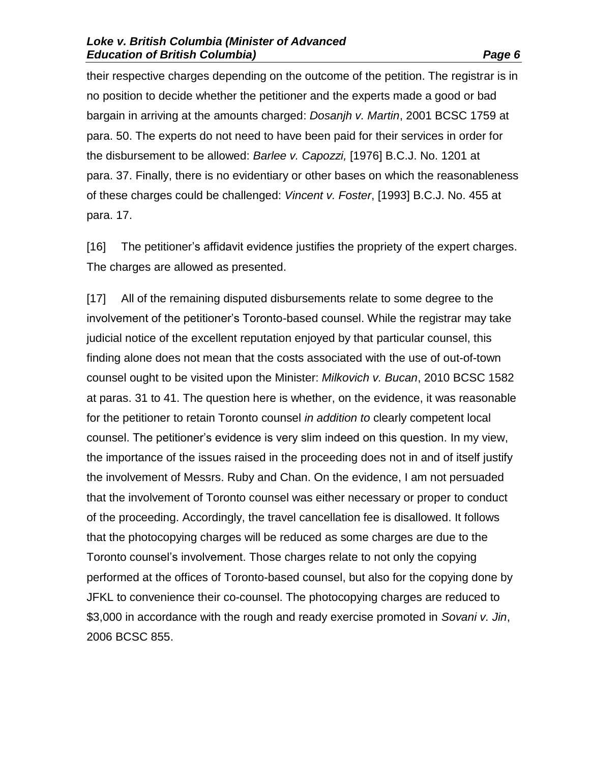their respective charges depending on the outcome of the petition. The registrar is in no position to decide whether the petitioner and the experts made a good or bad bargain in arriving at the amounts charged: *Dosanjh v. Martin*, 2001 BCSC 1759 at para. 50. The experts do not need to have been paid for their services in order for the disbursement to be allowed: *Barlee v. Capozzi,* [1976] B.C.J. No. 1201 at para. 37. Finally, there is no evidentiary or other bases on which the reasonableness of these charges could be challenged: *Vincent v. Foster*, [1993] B.C.J. No. 455 at para. 17.

[16] The petitioner's affidavit evidence justifies the propriety of the expert charges. The charges are allowed as presented.

[17] All of the remaining disputed disbursements relate to some degree to the involvement of the petitioner's Toronto-based counsel. While the registrar may take judicial notice of the excellent reputation enjoyed by that particular counsel, this finding alone does not mean that the costs associated with the use of out-of-town counsel ought to be visited upon the Minister: *Milkovich v. Bucan*, 2010 BCSC 1582 at paras. 31 to 41. The question here is whether, on the evidence, it was reasonable for the petitioner to retain Toronto counsel *in addition to* clearly competent local counsel. The petitioner's evidence is very slim indeed on this question. In my view, the importance of the issues raised in the proceeding does not in and of itself justify the involvement of Messrs. Ruby and Chan. On the evidence, I am not persuaded that the involvement of Toronto counsel was either necessary or proper to conduct of the proceeding. Accordingly, the travel cancellation fee is disallowed. It follows that the photocopying charges will be reduced as some charges are due to the Toronto counsel's involvement. Those charges relate to not only the copying performed at the offices of Toronto-based counsel, but also for the copying done by JFKL to convenience their co-counsel. The photocopying charges are reduced to \$3,000 in accordance with the rough and ready exercise promoted in *Sovani v. Jin*, 2006 BCSC 855.